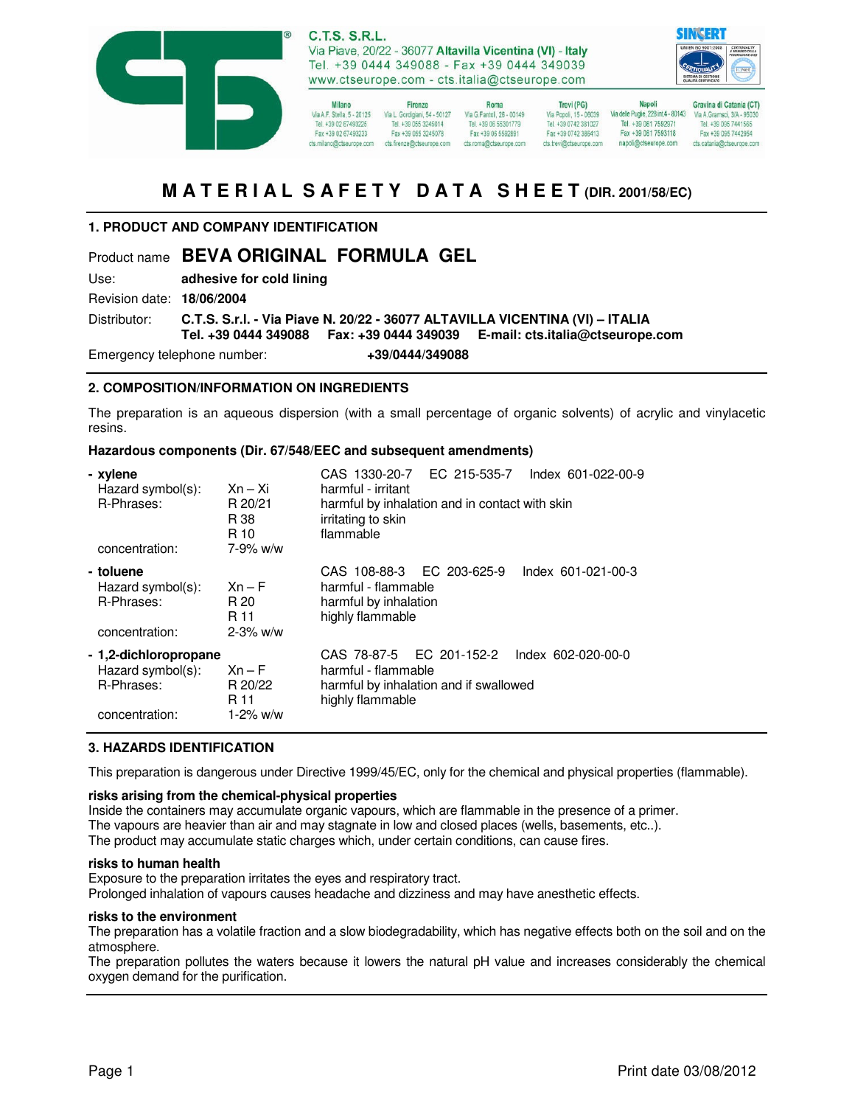



**Milano** Firenze Via A.F. Stella, 5 - 20125<br>Tel. +39 02 67493225<br>Tel. +39 055 3245014 Fax +39 02 67493233 Fax +39 055 3245078 cts.milano@ctseurope.com cts.firenze@ctseurope.com

Roma Via G.Fantoli, 26 - 00149 Tel. +39 06 55301779 Fax +39 06 5592891 cts.roma@ctseurope.com

Trevi (PG) Via Popoli, 15 - 06039<br>Tel. +39 0742 381027 Fax +39 0742 386413 cts.trevi@ctseurope.com

**Napoli** Gravina di Catania (CT) Via delle Puglie, 228 int.4 - 80143<br>Tel. +39 081 7592971 Fax +39 081 7593118 napoli@ctseurope.com

Via A. Gramsci, 3/A - 9503 Fax +39 095 7442954 cts.catania@ctseurope.com

# **M A T E R I A L S A F E T Y D A T A S H E E T (DIR. 2001/58/EC)**

# **1. PRODUCT AND COMPANY IDENTIFICATION**

# Product name **BEVA ORIGINAL FORMULA GEL**

Use: **adhesive for cold lining**

Revision date: **18/06/2004** 

Distributor: **C.T.S. S.r.l. - Via Piave N. 20/22 - 36077 ALTAVILLA VICENTINA (VI) – ITALIA** 

 **Tel. +39 0444 349088 Fax: +39 0444 349039 E-mail: cts.italia@ctseurope.com** 

Emergency telephone number: **+39/0444/349088** 

## **2. COMPOSITION/INFORMATION ON INGREDIENTS**

The preparation is an aqueous dispersion (with a small percentage of organic solvents) of acrylic and vinylacetic resins.

### **Hazardous components (Dir. 67/548/EEC and subsequent amendments)**

| - xylene<br>Hazard symbol(s):<br>R-Phrases:<br>concentration:              | $Xn - Xi$<br>R 20/21<br>R 38<br>R 10<br>$7 - 9\%$ w/w | CAS 1330-20-7 EC 215-535-7<br>Index 601-022-00-9<br>harmful - irritant<br>harmful by inhalation and in contact with skin<br>irritating to skin<br>flammable |
|----------------------------------------------------------------------------|-------------------------------------------------------|-------------------------------------------------------------------------------------------------------------------------------------------------------------|
| - toluene<br>Hazard symbol(s):<br>R-Phrases:<br>concentration:             | $Xn - F$<br>R 20<br>R 11<br>$2 - 3\%$ w/w             | CAS 108-88-3 EC 203-625-9<br>Index 601-021-00-3<br>harmful - flammable<br>harmful by inhalation<br>highly flammable                                         |
| - 1,2-dichloropropane<br>Hazard symbol(s):<br>R-Phrases:<br>concentration: | $Xn - F$<br>R 20/22<br>R 11<br>$1 - 2\%$ w/w          | CAS 78-87-5 EC 201-152-2<br>Index 602-020-00-0<br>harmful - flammable<br>harmful by inhalation and if swallowed<br>highly flammable                         |

## **3. HAZARDS IDENTIFICATION**

This preparation is dangerous under Directive 1999/45/EC, only for the chemical and physical properties (flammable).

### **risks arising from the chemical-physical properties**

Inside the containers may accumulate organic vapours, which are flammable in the presence of a primer. The vapours are heavier than air and may stagnate in low and closed places (wells, basements, etc..). The product may accumulate static charges which, under certain conditions, can cause fires.

### **risks to human health**

Exposure to the preparation irritates the eyes and respiratory tract.

Prolonged inhalation of vapours causes headache and dizziness and may have anesthetic effects.

#### **risks to the environment**

The preparation has a volatile fraction and a slow biodegradability, which has negative effects both on the soil and on the atmosphere.

The preparation pollutes the waters because it lowers the natural pH value and increases considerably the chemical oxygen demand for the purification.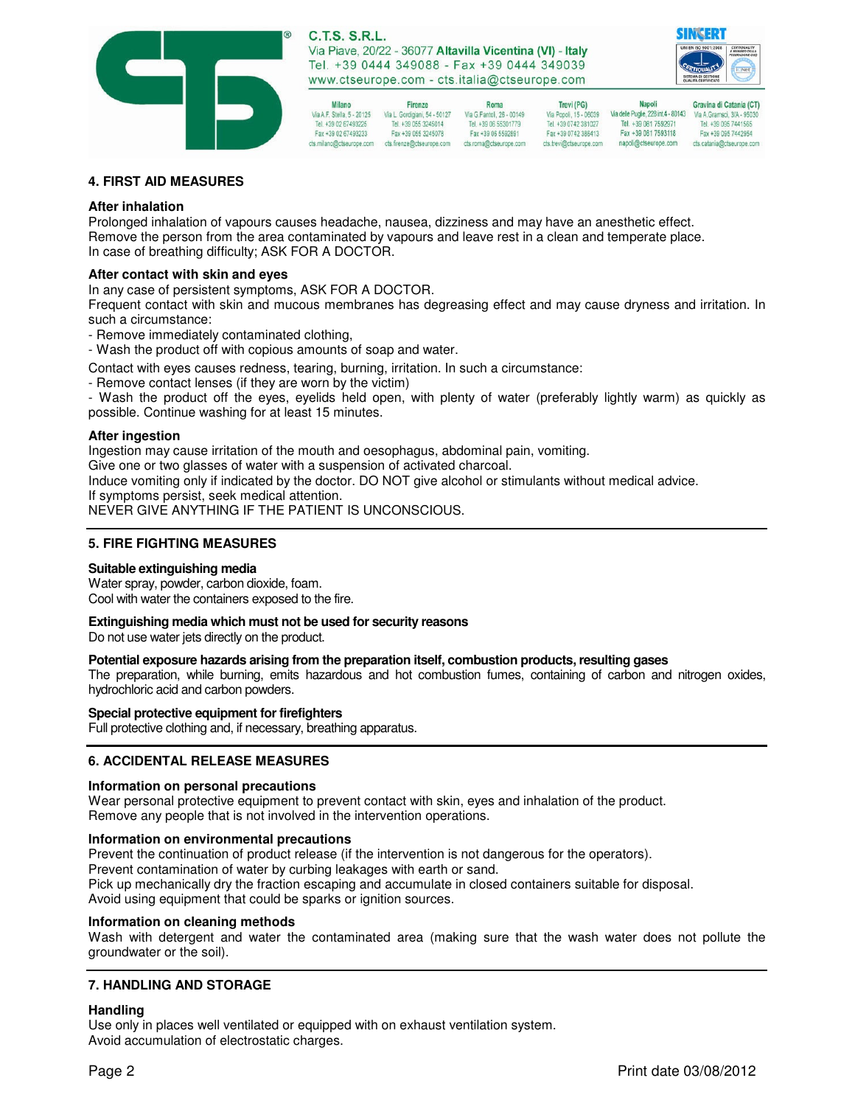

Firenze



Via A.F. Stella, 5 - 20125 Via L. Gordigiani, 54 - 50127 Via G. Fantoli, 26 - 00149<br>Tel. +39 02 67493225 Tel. +39 055 3245014 Tel. +39 06 55301779 Fax +39 055 3245078 Fax +39 02 67493233 

**Milano** 

Roma Fax +39 06 5592891

Via Popoli, 15 - 06039<br>Tel. +39 0742 381027 Fax +39 0742 386413 cts.trevi@ctseurope.com

Trevi (PG)

**Napoli** Gravina di Catania (CT) Via delle Puglie, 228 int.4 - 80143<br>Tel. +39 081 7592971 Fax +39 081 7593118 napoli@ctseurope.com

Via A. Gramsci, 3/A - 9503 Fax +39 095 7442954 cts.catania@ctseurope.com

## **4. FIRST AID MEASURES**

## **After inhalation**

Prolonged inhalation of vapours causes headache, nausea, dizziness and may have an anesthetic effect. Remove the person from the area contaminated by vapours and leave rest in a clean and temperate place. In case of breathing difficulty; ASK FOR A DOCTOR.

# **After contact with skin and eyes**

In any case of persistent symptoms, ASK FOR A DOCTOR.

Frequent contact with skin and mucous membranes has degreasing effect and may cause dryness and irritation. In such a circumstance:

- Remove immediately contaminated clothing,

- Wash the product off with copious amounts of soap and water.

Contact with eyes causes redness, tearing, burning, irritation. In such a circumstance:

- Remove contact lenses (if they are worn by the victim)

- Wash the product off the eyes, eyelids held open, with plenty of water (preferably lightly warm) as quickly as possible. Continue washing for at least 15 minutes.

#### **After ingestion**

Ingestion may cause irritation of the mouth and oesophagus, abdominal pain, vomiting. Give one or two glasses of water with a suspension of activated charcoal. Induce vomiting only if indicated by the doctor. DO NOT give alcohol or stimulants without medical advice. If symptoms persist, seek medical attention.

NEVER GIVE ANYTHING IF THE PATIENT IS UNCONSCIOUS.

## **5. FIRE FIGHTING MEASURES**

### **Suitable extinguishing media**

Water spray, powder, carbon dioxide, foam. Cool with water the containers exposed to the fire.

### **Extinguishing media which must not be used for security reasons**

Do not use water jets directly on the product.

### **Potential exposure hazards arising from the preparation itself, combustion products, resulting gases**

The preparation, while burning, emits hazardous and hot combustion fumes, containing of carbon and nitrogen oxides, hydrochloric acid and carbon powders.

### **Special protective equipment for firefighters**

Full protective clothing and, if necessary, breathing apparatus.

## **6. ACCIDENTAL RELEASE MEASURES**

### **Information on personal precautions**

Wear personal protective equipment to prevent contact with skin, eyes and inhalation of the product. Remove any people that is not involved in the intervention operations.

### **Information on environmental precautions**

Prevent the continuation of product release (if the intervention is not dangerous for the operators). Prevent contamination of water by curbing leakages with earth or sand. Pick up mechanically dry the fraction escaping and accumulate in closed containers suitable for disposal. Avoid using equipment that could be sparks or ignition sources.

#### **Information on cleaning methods**

Wash with detergent and water the contaminated area (making sure that the wash water does not pollute the groundwater or the soil).

### **7. HANDLING AND STORAGE**

### **Handling**

Use only in places well ventilated or equipped with on exhaust ventilation system. Avoid accumulation of electrostatic charges.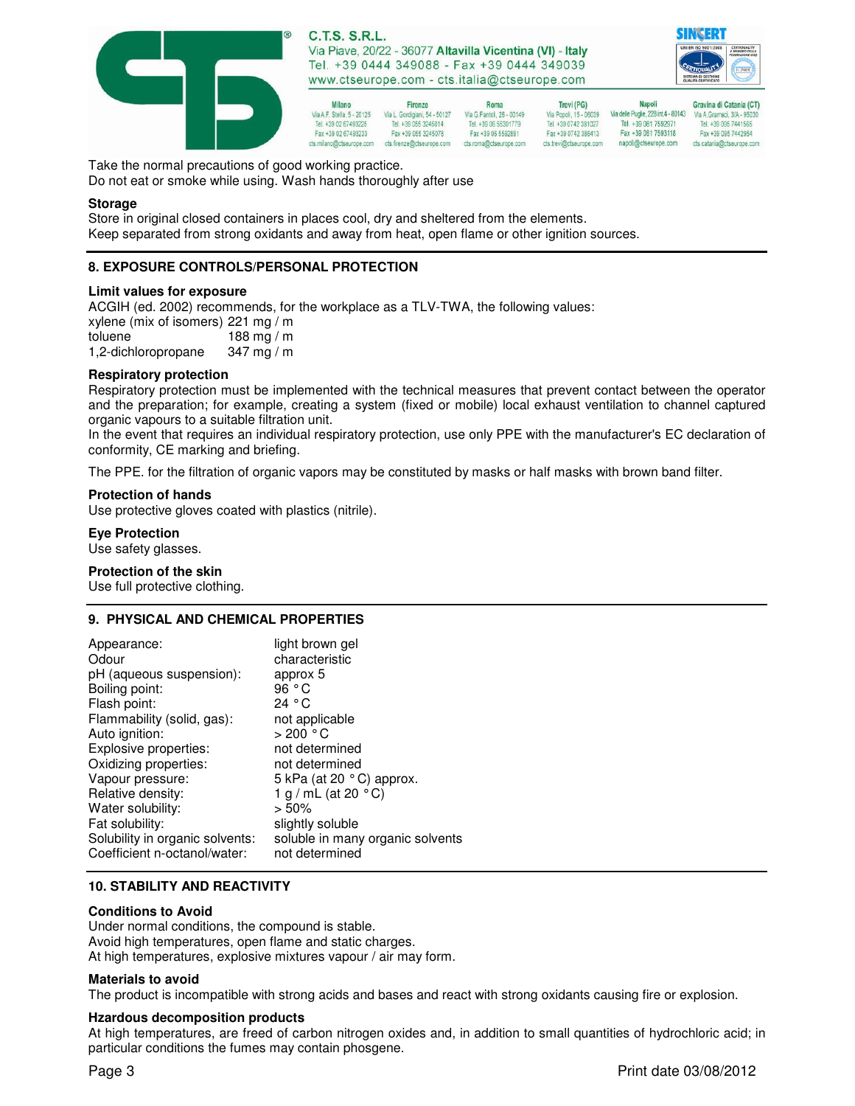



| Milano                     | Firenze                       | Roma                      | Trevi (PG)              | <b>Napoli</b>                       | Gravina di Catania       |
|----------------------------|-------------------------------|---------------------------|-------------------------|-------------------------------------|--------------------------|
| Via A.F. Stella, 5 - 20125 | Via L. Gordiniani, 54 - 50127 | Via G.Fantoli, 26 - 00149 | Via Popoli, 15 - 06039  | Via delle Puglie, 228 int.4 - 80143 | Via A. Gramsci, 3/A - 95 |
| Tel. +39 02 67493225       | Tel. +39 055 3245014          | Tel. +39 06 55301779      | Tel. +39 0742 381027    | Tel. +39 081 7592971                | Tel. +39 095 744156      |
| Fax +39 02 67493233        | Fax +39 055 3245078           | Fax +39 06 5592891        | Fax +39 0742 386413     | Fax +39 081 7593118                 | Fax +39 095 744295       |
| cts.milano@ctseurope.com   | cts.firenze@ctseurope.com     | cts.roma@ctseurope.com    | cts.trevi@ctseurope.com | napoli@ctseurope.com                | cts.catania@ctseurope    |

Take the normal precautions of good working practice.

Do not eat or smoke while using. Wash hands thoroughly after use

#### **Storage**

Store in original closed containers in places cool, dry and sheltered from the elements. Keep separated from strong oxidants and away from heat, open flame or other ignition sources.

## **8. EXPOSURE CONTROLS/PERSONAL PROTECTION**

#### **Limit values for exposure**

ACGIH (ed. 2002) recommends, for the workplace as a TLV-TWA, the following values:

| xylene (mix of isomers) 221 mg / m |            |
|------------------------------------|------------|
| toluene                            | 188 mg / m |
| 1,2-dichloropropane                | 347 mg / m |

#### **Respiratory protection**

Respiratory protection must be implemented with the technical measures that prevent contact between the operator and the preparation; for example, creating a system (fixed or mobile) local exhaust ventilation to channel captured organic vapours to a suitable filtration unit.

In the event that requires an individual respiratory protection, use only PPE with the manufacturer's EC declaration of conformity, CE marking and briefing.

The PPE. for the filtration of organic vapors may be constituted by masks or half masks with brown band filter.

#### **Protection of hands**

Use protective gloves coated with plastics (nitrile).

# **Eye Protection**

Use safety glasses.

#### **Protection of the skin**

Use full protective clothing.

### **9. PHYSICAL AND CHEMICAL PROPERTIES**

| Appearance:                     | light brown gel                  |
|---------------------------------|----------------------------------|
| Odour                           | characteristic                   |
| pH (aqueous suspension):        | approx 5                         |
| Boiling point:                  | 96 $^{\circ}$ C                  |
| Flash point:                    | 24 ° C                           |
| Flammability (solid, gas):      | not applicable                   |
| Auto ignition:                  | >200 °C                          |
| Explosive properties:           | not determined                   |
| Oxidizing properties:           | not determined                   |
| Vapour pressure:                | 5 kPa (at 20 °C) approx.         |
| Relative density:               | 1 g / mL (at 20 $^{\circ}$ C)    |
| Water solubility:               | $> 50\%$                         |
| Fat solubility:                 | slightly soluble                 |
| Solubility in organic solvents: | soluble in many organic solvents |
| Coefficient n-octanol/water:    | not determined                   |

## **10. STABILITY AND REACTIVITY**

#### **Conditions to Avoid**

Under normal conditions, the compound is stable. Avoid high temperatures, open flame and static charges. At high temperatures, explosive mixtures vapour / air may form.

#### **Materials to avoid**

The product is incompatible with strong acids and bases and react with strong oxidants causing fire or explosion.

### **Hzardous decomposition products**

At high temperatures, are freed of carbon nitrogen oxides and, in addition to small quantities of hydrochloric acid; in particular conditions the fumes may contain phosgene.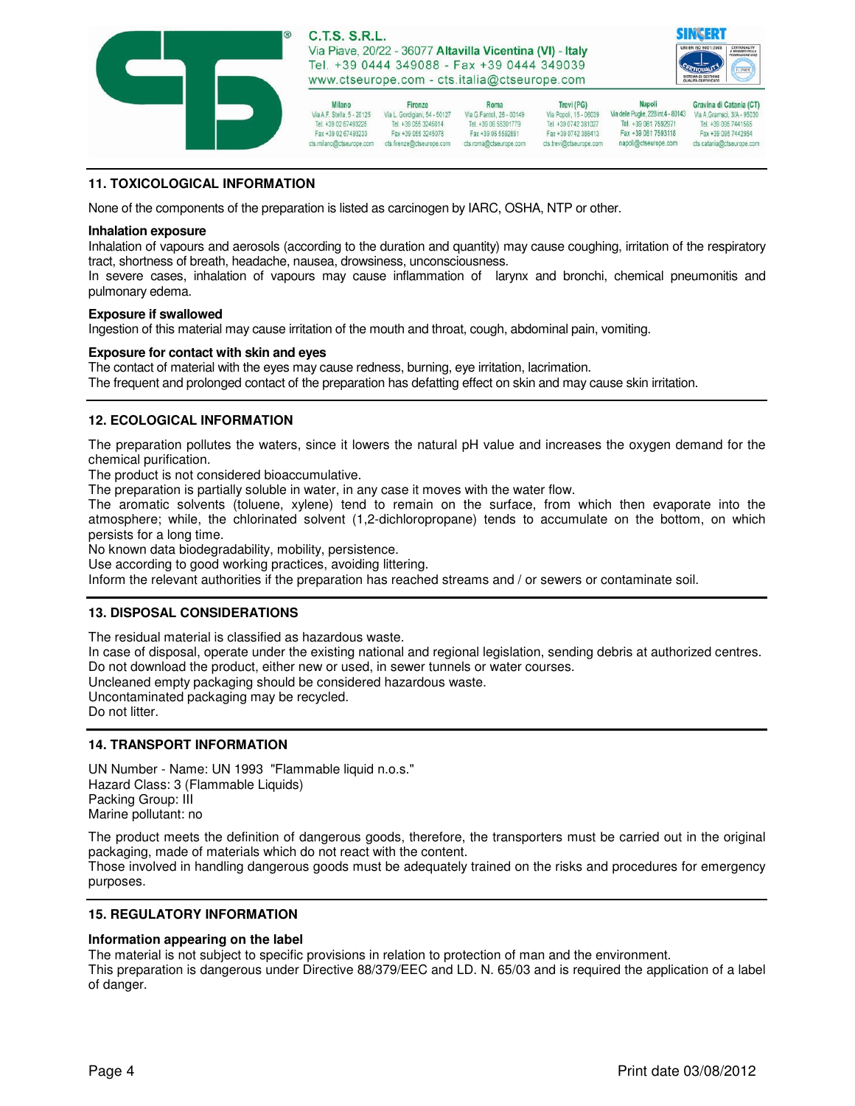

Firenze



Gravina di Catania (CT)

Via A.F. Stella, 5 - 20125<br>Tel. +39 02 67493225<br>Tel. +39 055 3245014 Fax +39 02 67493233 Fax +39 055 3245078 cts.milano@ctseurope.com cts.firenze@ctseurope.com

**Milano** 

Roma Via G.Fantoli, 26 - 00149 Tel. +39 06 55301779 Fax +39 06 5592891 cts.roma@ctseurope.com

**Napoli** Trevi (PG) Via Popoli, 15 - 06039<br>Tel. +39 0742 381027 Fax +39 0742 386413 cts.trevi@ctseurope.com

Via delle Puglie, 228 int.4 - 80143<br>Tel. +39 081 7592971 Fax +39 081 7593118 napoli@ctseurope.com

Via A. Gramsci, 3/A - 9503 Fax +39 095 7442954 cts.catania@ctseurope.com

# **11. TOXICOLOGICAL INFORMATION**

None of the components of the preparation is listed as carcinogen by IARC, OSHA, NTP or other.

## **Inhalation exposure**

Inhalation of vapours and aerosols (according to the duration and quantity) may cause coughing, irritation of the respiratory tract, shortness of breath, headache, nausea, drowsiness, unconsciousness.

In severe cases, inhalation of vapours may cause inflammation of larynx and bronchi, chemical pneumonitis and pulmonary edema.

## **Exposure if swallowed**

Ingestion of this material may cause irritation of the mouth and throat, cough, abdominal pain, vomiting.

# **Exposure for contact with skin and eyes**

The contact of material with the eyes may cause redness, burning, eye irritation, lacrimation. The frequent and prolonged contact of the preparation has defatting effect on skin and may cause skin irritation.

# **12. ECOLOGICAL INFORMATION**

The preparation pollutes the waters, since it lowers the natural pH value and increases the oxygen demand for the chemical purification.

The product is not considered bioaccumulative.

The preparation is partially soluble in water, in any case it moves with the water flow.

The aromatic solvents (toluene, xylene) tend to remain on the surface, from which then evaporate into the atmosphere; while, the chlorinated solvent (1,2-dichloropropane) tends to accumulate on the bottom, on which persists for a long time.

No known data biodegradability, mobility, persistence.

Use according to good working practices, avoiding littering.

Inform the relevant authorities if the preparation has reached streams and / or sewers or contaminate soil.

# **13. DISPOSAL CONSIDERATIONS**

The residual material is classified as hazardous waste.

In case of disposal, operate under the existing national and regional legislation, sending debris at authorized centres. Do not download the product, either new or used, in sewer tunnels or water courses.

Uncleaned empty packaging should be considered hazardous waste.

Uncontaminated packaging may be recycled.

Do not litter.

# **14. TRANSPORT INFORMATION**

UN Number - Name: UN 1993 "Flammable liquid n.o.s." Hazard Class: 3 (Flammable Liquids) Packing Group: III Marine pollutant: no

The product meets the definition of dangerous goods, therefore, the transporters must be carried out in the original packaging, made of materials which do not react with the content.

Those involved in handling dangerous goods must be adequately trained on the risks and procedures for emergency purposes.

# **15. REGULATORY INFORMATION**

# **Information appearing on the label**

The material is not subject to specific provisions in relation to protection of man and the environment.

This preparation is dangerous under Directive 88/379/EEC and LD. N. 65/03 and is required the application of a label of danger.